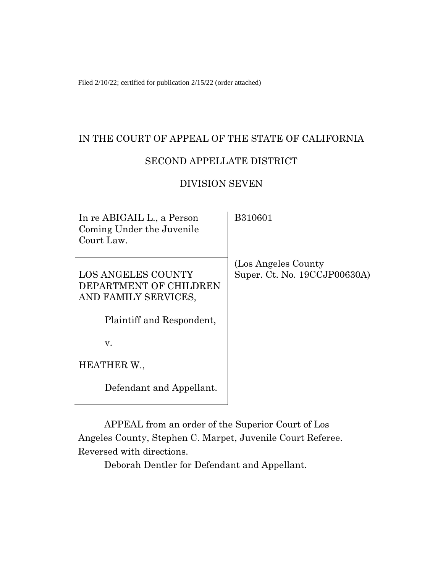Filed 2/10/22; certified for publication 2/15/22 (order attached)

## IN THE COURT OF APPEAL OF THE STATE OF CALIFORNIA

### SECOND APPELLATE DISTRICT

### DIVISION SEVEN

| In re ABIGAIL L., a Person<br>Coming Under the Juvenile<br>Court Law.       | B310601                                              |
|-----------------------------------------------------------------------------|------------------------------------------------------|
| <b>LOS ANGELES COUNTY</b><br>DEPARTMENT OF CHILDREN<br>AND FAMILY SERVICES, | (Los Angeles County)<br>Super. Ct. No. 19CCJP00630A) |
| Plaintiff and Respondent,                                                   |                                                      |
| v.                                                                          |                                                      |
| HEATHER W.,                                                                 |                                                      |
| Defendant and Appellant.                                                    |                                                      |

APPEAL from an order of the Superior Court of Los Angeles County, Stephen C. Marpet, Juvenile Court Referee. Reversed with directions.

Deborah Dentler for Defendant and Appellant.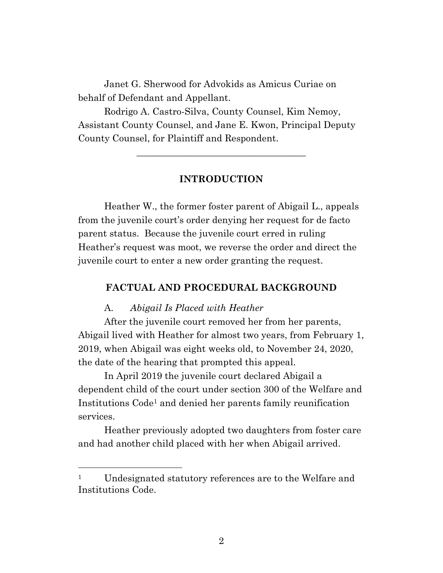Janet G. Sherwood for Advokids as Amicus Curiae on behalf of Defendant and Appellant.

Rodrigo A. Castro-Silva, County Counsel, Kim Nemoy, Assistant County Counsel, and Jane E. Kwon, Principal Deputy County Counsel, for Plaintiff and Respondent.

### **INTRODUCTION**

\_\_\_\_\_\_\_\_\_\_\_\_\_\_\_\_\_\_\_\_\_\_\_\_\_\_\_\_\_\_\_\_\_\_\_\_

Heather W., the former foster parent of Abigail L., appeals from the juvenile court's order denying her request for de facto parent status. Because the juvenile court erred in ruling Heather's request was moot, we reverse the order and direct the juvenile court to enter a new order granting the request.

### **FACTUAL AND PROCEDURAL BACKGROUND**

#### A. *Abigail Is Placed with Heather*

After the juvenile court removed her from her parents, Abigail lived with Heather for almost two years, from February 1, 2019, when Abigail was eight weeks old, to November 24, 2020, the date of the hearing that prompted this appeal.

In April 2019 the juvenile court declared Abigail a dependent child of the court under section 300 of the Welfare and Institutions Code<sup>1</sup> and denied her parents family reunification services.

Heather previously adopted two daughters from foster care and had another child placed with her when Abigail arrived.

<sup>&</sup>lt;sup>1</sup> Undesignated statutory references are to the Welfare and Institutions Code.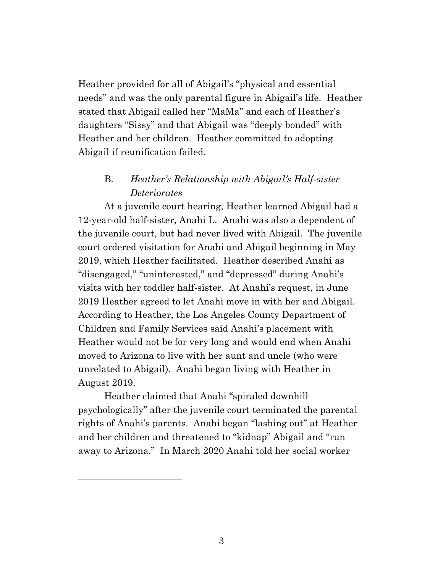Heather provided for all of Abigail's "physical and essential needs" and was the only parental figure in Abigail's life. Heather stated that Abigail called her "MaMa" and each of Heather's daughters "Sissy" and that Abigail was "deeply bonded" with Heather and her children. Heather committed to adopting Abigail if reunification failed.

# B. *Heather's Relationship with Abigail's Half-sister Deteriorates*

At a juvenile court hearing, Heather learned Abigail had a 12-year-old half-sister, Anahi L. Anahi was also a dependent of the juvenile court, but had never lived with Abigail. The juvenile court ordered visitation for Anahi and Abigail beginning in May 2019, which Heather facilitated. Heather described Anahi as "disengaged," "uninterested," and "depressed" during Anahi's visits with her toddler half-sister. At Anahi's request, in June 2019 Heather agreed to let Anahi move in with her and Abigail. According to Heather, the Los Angeles County Department of Children and Family Services said Anahi's placement with Heather would not be for very long and would end when Anahi moved to Arizona to live with her aunt and uncle (who were unrelated to Abigail). Anahi began living with Heather in August 2019.

Heather claimed that Anahi "spiraled downhill psychologically" after the juvenile court terminated the parental rights of Anahi's parents. Anahi began "lashing out" at Heather and her children and threatened to "kidnap" Abigail and "run away to Arizona." In March 2020 Anahi told her social worker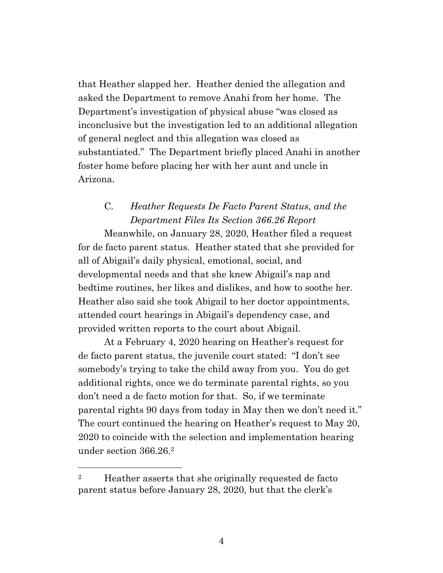that Heather slapped her. Heather denied the allegation and asked the Department to remove Anahi from her home. The Department's investigation of physical abuse "was closed as inconclusive but the investigation led to an additional allegation of general neglect and this allegation was closed as substantiated." The Department briefly placed Anahi in another foster home before placing her with her aunt and uncle in Arizona.

# C. *Heather Requests De Facto Parent Status, and the Department Files Its Section 366.26 Report*

Meanwhile, on January 28, 2020, Heather filed a request for de facto parent status. Heather stated that she provided for all of Abigail's daily physical, emotional, social, and developmental needs and that she knew Abigail's nap and bedtime routines, her likes and dislikes, and how to soothe her. Heather also said she took Abigail to her doctor appointments, attended court hearings in Abigail's dependency case, and provided written reports to the court about Abigail.

At a February 4, 2020 hearing on Heather's request for de facto parent status, the juvenile court stated: "I don't see somebody's trying to take the child away from you. You do get additional rights, once we do terminate parental rights, so you don't need a de facto motion for that. So, if we terminate parental rights 90 days from today in May then we don't need it." The court continued the hearing on Heather's request to May 20, 2020 to coincide with the selection and implementation hearing under section 366.26. 2

<sup>&</sup>lt;sup>2</sup> Heather asserts that she originally requested de facto parent status before January 28, 2020, but that the clerk's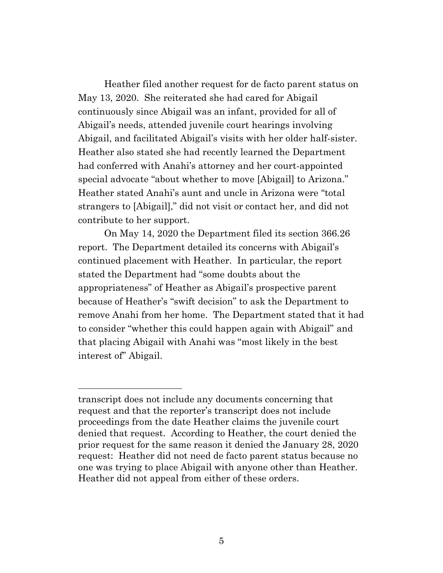Heather filed another request for de facto parent status on May 13, 2020. She reiterated she had cared for Abigail continuously since Abigail was an infant, provided for all of Abigail's needs, attended juvenile court hearings involving Abigail, and facilitated Abigail's visits with her older half-sister. Heather also stated she had recently learned the Department had conferred with Anahi's attorney and her court-appointed special advocate "about whether to move [Abigail] to Arizona." Heather stated Anahi's aunt and uncle in Arizona were "total strangers to [Abigail]," did not visit or contact her, and did not contribute to her support.

On May 14, 2020 the Department filed its section 366.26 report. The Department detailed its concerns with Abigail's continued placement with Heather. In particular, the report stated the Department had "some doubts about the appropriateness" of Heather as Abigail's prospective parent because of Heather's "swift decision" to ask the Department to remove Anahi from her home. The Department stated that it had to consider "whether this could happen again with Abigail" and that placing Abigail with Anahi was "most likely in the best interest of" Abigail.

transcript does not include any documents concerning that request and that the reporter's transcript does not include proceedings from the date Heather claims the juvenile court denied that request. According to Heather, the court denied the prior request for the same reason it denied the January 28, 2020 request: Heather did not need de facto parent status because no one was trying to place Abigail with anyone other than Heather. Heather did not appeal from either of these orders.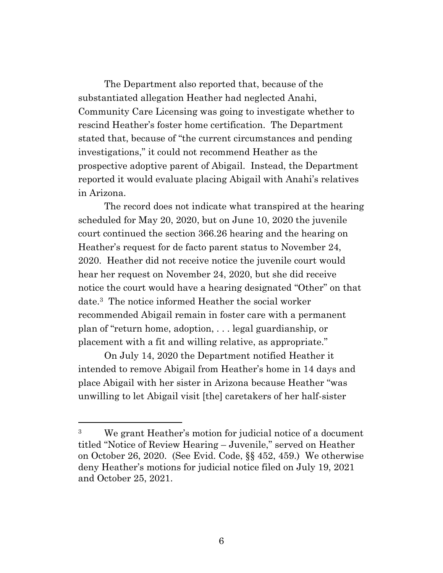The Department also reported that, because of the substantiated allegation Heather had neglected Anahi, Community Care Licensing was going to investigate whether to rescind Heather's foster home certification. The Department stated that, because of "the current circumstances and pending investigations," it could not recommend Heather as the prospective adoptive parent of Abigail. Instead, the Department reported it would evaluate placing Abigail with Anahi's relatives in Arizona.

The record does not indicate what transpired at the hearing scheduled for May 20, 2020, but on June 10, 2020 the juvenile court continued the section 366.26 hearing and the hearing on Heather's request for de facto parent status to November 24, 2020. Heather did not receive notice the juvenile court would hear her request on November 24, 2020, but she did receive notice the court would have a hearing designated "Other" on that date. <sup>3</sup> The notice informed Heather the social worker recommended Abigail remain in foster care with a permanent plan of "return home, adoption, . . . legal guardianship, or placement with a fit and willing relative, as appropriate."

On July 14, 2020 the Department notified Heather it intended to remove Abigail from Heather's home in 14 days and place Abigail with her sister in Arizona because Heather "was unwilling to let Abigail visit [the] caretakers of her half-sister

<sup>3</sup> We grant Heather's motion for judicial notice of a document titled "Notice of Review Hearing – Juvenile," served on Heather on October 26, 2020. (See Evid. Code, §§ 452, 459.) We otherwise deny Heather's motions for judicial notice filed on July 19, 2021 and October 25, 2021.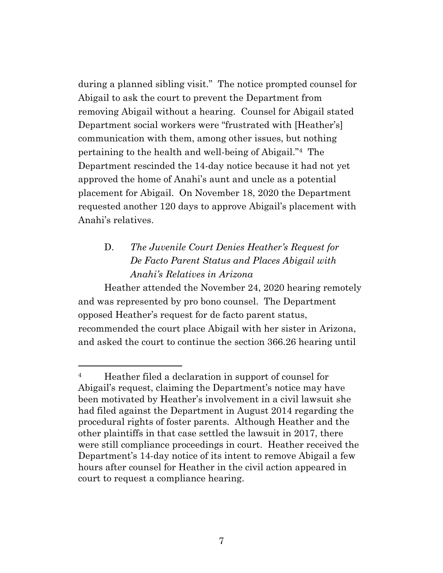during a planned sibling visit." The notice prompted counsel for Abigail to ask the court to prevent the Department from removing Abigail without a hearing. Counsel for Abigail stated Department social workers were "frustrated with [Heather's] communication with them, among other issues, but nothing pertaining to the health and well-being of Abigail."4 The Department rescinded the 14-day notice because it had not yet approved the home of Anahi's aunt and uncle as a potential placement for Abigail. On November 18, 2020 the Department requested another 120 days to approve Abigail's placement with Anahi's relatives.

# D. *The Juvenile Court Denies Heather's Request for De Facto Parent Status and Places Abigail with Anahi's Relatives in Arizona*

Heather attended the November 24, 2020 hearing remotely and was represented by pro bono counsel. The Department opposed Heather's request for de facto parent status, recommended the court place Abigail with her sister in Arizona, and asked the court to continue the section 366.26 hearing until

<sup>4</sup> Heather filed a declaration in support of counsel for Abigail's request, claiming the Department's notice may have been motivated by Heather's involvement in a civil lawsuit she had filed against the Department in August 2014 regarding the procedural rights of foster parents. Although Heather and the other plaintiffs in that case settled the lawsuit in 2017, there were still compliance proceedings in court. Heather received the Department's 14-day notice of its intent to remove Abigail a few hours after counsel for Heather in the civil action appeared in court to request a compliance hearing.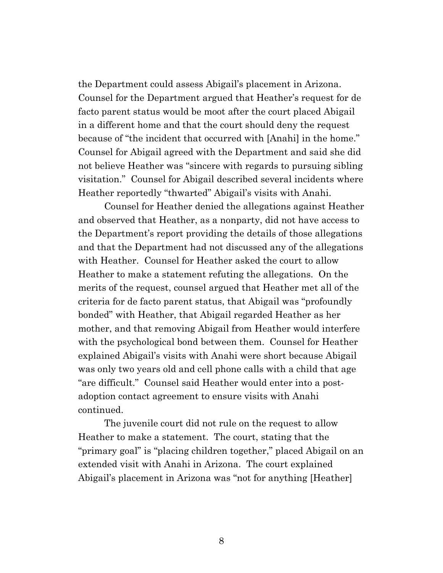the Department could assess Abigail's placement in Arizona. Counsel for the Department argued that Heather's request for de facto parent status would be moot after the court placed Abigail in a different home and that the court should deny the request because of "the incident that occurred with [Anahi] in the home." Counsel for Abigail agreed with the Department and said she did not believe Heather was "sincere with regards to pursuing sibling visitation." Counsel for Abigail described several incidents where Heather reportedly "thwarted" Abigail's visits with Anahi.

Counsel for Heather denied the allegations against Heather and observed that Heather, as a nonparty, did not have access to the Department's report providing the details of those allegations and that the Department had not discussed any of the allegations with Heather. Counsel for Heather asked the court to allow Heather to make a statement refuting the allegations. On the merits of the request, counsel argued that Heather met all of the criteria for de facto parent status, that Abigail was "profoundly bonded" with Heather, that Abigail regarded Heather as her mother, and that removing Abigail from Heather would interfere with the psychological bond between them. Counsel for Heather explained Abigail's visits with Anahi were short because Abigail was only two years old and cell phone calls with a child that age "are difficult." Counsel said Heather would enter into a postadoption contact agreement to ensure visits with Anahi continued.

The juvenile court did not rule on the request to allow Heather to make a statement. The court, stating that the "primary goal" is "placing children together," placed Abigail on an extended visit with Anahi in Arizona. The court explained Abigail's placement in Arizona was "not for anything [Heather]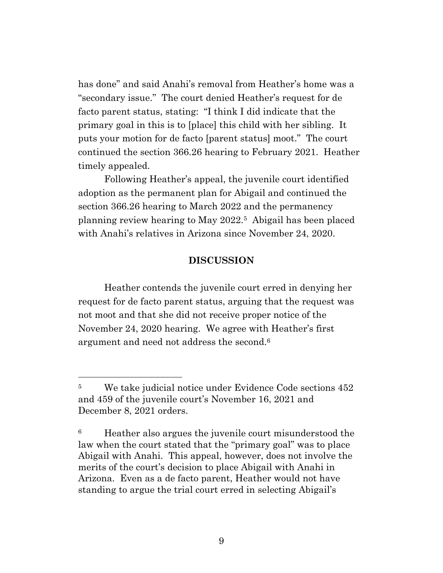has done" and said Anahi's removal from Heather's home was a "secondary issue." The court denied Heather's request for de facto parent status, stating: "I think I did indicate that the primary goal in this is to [place] this child with her sibling. It puts your motion for de facto [parent status] moot." The court continued the section 366.26 hearing to February 2021. Heather timely appealed.

Following Heather's appeal, the juvenile court identified adoption as the permanent plan for Abigail and continued the section 366.26 hearing to March 2022 and the permanency planning review hearing to May 2022.5 Abigail has been placed with Anahi's relatives in Arizona since November 24, 2020.

#### **DISCUSSION**

Heather contends the juvenile court erred in denying her request for de facto parent status, arguing that the request was not moot and that she did not receive proper notice of the November 24, 2020 hearing. We agree with Heather's first argument and need not address the second. 6

<sup>&</sup>lt;sup>5</sup> We take judicial notice under Evidence Code sections 452 and 459 of the juvenile court's November 16, 2021 and December 8, 2021 orders.

<sup>6</sup> Heather also argues the juvenile court misunderstood the law when the court stated that the "primary goal" was to place Abigail with Anahi. This appeal, however, does not involve the merits of the court's decision to place Abigail with Anahi in Arizona. Even as a de facto parent, Heather would not have standing to argue the trial court erred in selecting Abigail's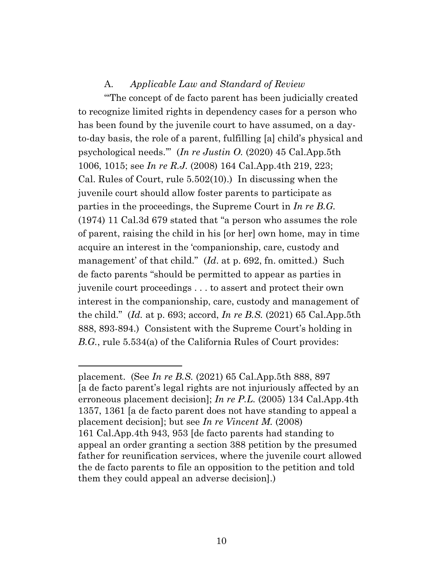### A. *Applicable Law and Standard of Review*

"'The concept of de facto parent has been judicially created to recognize limited rights in dependency cases for a person who has been found by the juvenile court to have assumed, on a dayto-day basis, the role of a parent, fulfilling [a] child's physical and psychological needs.'" (*In re Justin O.* (2020) 45 Cal.App.5th 1006, 1015; see *In re R.J.* (2008) 164 Cal.App.4th 219, 223; Cal. Rules of Court, rule 5.502(10).) In discussing when the juvenile court should allow foster parents to participate as parties in the proceedings, the Supreme Court in *In re B.G.* (1974) 11 Cal.3d 679 stated that "a person who assumes the role of parent, raising the child in his [or her] own home, may in time acquire an interest in the 'companionship, care, custody and management' of that child." (*Id.* at p. 692, fn. omitted.) Such de facto parents "should be permitted to appear as parties in juvenile court proceedings . . . to assert and protect their own interest in the companionship, care, custody and management of the child." (*Id.* at p. 693; accord, *In re B.S.* (2021) 65 Cal.App.5th 888, 893-894.) Consistent with the Supreme Court's holding in *B.G.*, rule 5.534(a) of the California Rules of Court provides:

placement. (See *In re B.S.* (2021) 65 Cal.App.5th 888, 897 [a de facto parent's legal rights are not injuriously affected by an erroneous placement decision]; *In re P.L.* (2005) 134 Cal.App.4th 1357, 1361 [a de facto parent does not have standing to appeal a placement decision]; but see *In re Vincent M.* (2008) 161 Cal.App.4th 943, 953 [de facto parents had standing to appeal an order granting a section 388 petition by the presumed father for reunification services, where the juvenile court allowed the de facto parents to file an opposition to the petition and told them they could appeal an adverse decision].)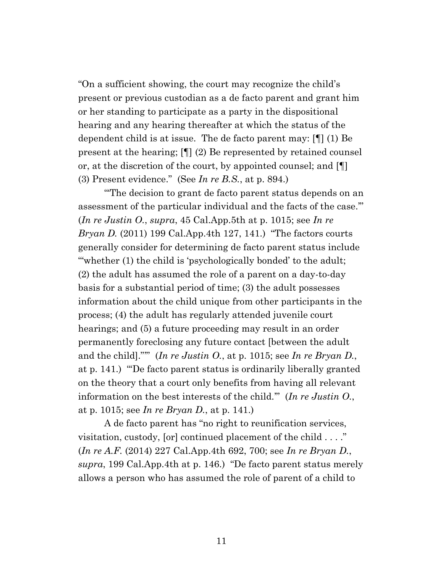"On a sufficient showing, the court may recognize the child's present or previous custodian as a de facto parent and grant him or her standing to participate as a party in the dispositional hearing and any hearing thereafter at which the status of the dependent child is at issue. The de facto parent may: [¶] (1) Be present at the hearing; [¶] (2) Be represented by retained counsel or, at the discretion of the court, by appointed counsel; and [¶] (3) Present evidence." (See *In re B.S.*, at p. 894.)

"'The decision to grant de facto parent status depends on an assessment of the particular individual and the facts of the case.'" (*In re Justin O.*, *supra*, 45 Cal.App.5th at p. 1015; see *In re Bryan D.* (2011) 199 Cal.App.4th 127, 141.) "The factors courts generally consider for determining de facto parent status include '"whether (1) the child is 'psychologically bonded' to the adult; (2) the adult has assumed the role of a parent on a day-to-day basis for a substantial period of time; (3) the adult possesses information about the child unique from other participants in the process; (4) the adult has regularly attended juvenile court hearings; and (5) a future proceeding may result in an order permanently foreclosing any future contact [between the adult and the child]."'" (*In re Justin O.*, at p. 1015; see *In re Bryan D.*, at p. 141.) "'De facto parent status is ordinarily liberally granted on the theory that a court only benefits from having all relevant information on the best interests of the child.'" (*In re Justin O.*, at p. 1015; see *In re Bryan D.*, at p. 141.)

A de facto parent has "no right to reunification services, visitation, custody, [or] continued placement of the child . . . ." (*In re A.F.* (2014) 227 Cal.App.4th 692, 700; see *In re Bryan D.*, *supra*, 199 Cal.App.4th at p. 146.) "De facto parent status merely allows a person who has assumed the role of parent of a child to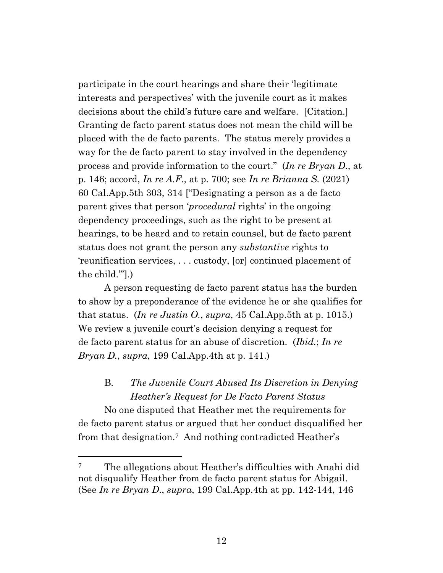participate in the court hearings and share their 'legitimate interests and perspectives' with the juvenile court as it makes decisions about the child's future care and welfare. [Citation.] Granting de facto parent status does not mean the child will be placed with the de facto parents. The status merely provides a way for the de facto parent to stay involved in the dependency process and provide information to the court." (*In re Bryan D.*, at p. 146; accord, *In re A.F.*, at p. 700; see *In re Brianna S.* (2021) 60 Cal.App.5th 303, 314 ["Designating a person as a de facto parent gives that person '*procedural* rights' in the ongoing dependency proceedings, such as the right to be present at hearings, to be heard and to retain counsel, but de facto parent status does not grant the person any *substantive* rights to 'reunification services, . . . custody, [or] continued placement of the child.'"].)

A person requesting de facto parent status has the burden to show by a preponderance of the evidence he or she qualifies for that status. (*In re Justin O.*, *supra*, 45 Cal. App. 5th at p. 1015.) We review a juvenile court's decision denying a request for de facto parent status for an abuse of discretion. (*Ibid.*; *In re Bryan D.*, *supra*, 199 Cal.App.4th at p. 141.)

# B. *The Juvenile Court Abused Its Discretion in Denying Heather's Request for De Facto Parent Status*

No one disputed that Heather met the requirements for de facto parent status or argued that her conduct disqualified her from that designation. <sup>7</sup> And nothing contradicted Heather's

<sup>&</sup>lt;sup>7</sup> The allegations about Heather's difficulties with Anahi did not disqualify Heather from de facto parent status for Abigail. (See *In re Bryan D*., *supra*, 199 Cal.App.4th at pp. 142-144, 146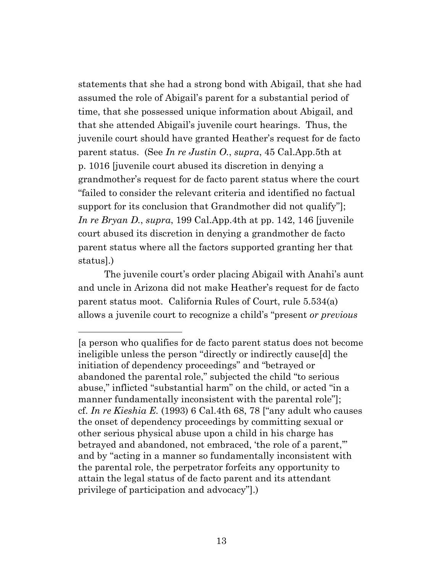statements that she had a strong bond with Abigail, that she had assumed the role of Abigail's parent for a substantial period of time, that she possessed unique information about Abigail, and that she attended Abigail's juvenile court hearings. Thus, the juvenile court should have granted Heather's request for de facto parent status. (See *In re Justin O.*, *supra*, 45 Cal.App.5th at p. 1016 [juvenile court abused its discretion in denying a grandmother's request for de facto parent status where the court "failed to consider the relevant criteria and identified no factual support for its conclusion that Grandmother did not qualify"]; *In re Bryan D.*, *supra*, 199 Cal.App.4th at pp. 142, 146 [juvenile court abused its discretion in denying a grandmother de facto parent status where all the factors supported granting her that status].)

The juvenile court's order placing Abigail with Anahi's aunt and uncle in Arizona did not make Heather's request for de facto parent status moot. California Rules of Court, rule 5.534(a) allows a juvenile court to recognize a child's "present *or previous*

<sup>[</sup>a person who qualifies for de facto parent status does not become ineligible unless the person "directly or indirectly cause[d] the initiation of dependency proceedings" and "betrayed or abandoned the parental role," subjected the child "to serious abuse," inflicted "substantial harm" on the child, or acted "in a manner fundamentally inconsistent with the parental role"]; cf. *In re Kieshia E.* (1993) 6 Cal.4th 68, 78 ["any adult who causes the onset of dependency proceedings by committing sexual or other serious physical abuse upon a child in his charge has betrayed and abandoned, not embraced, 'the role of a parent,'" and by "acting in a manner so fundamentally inconsistent with the parental role, the perpetrator forfeits any opportunity to attain the legal status of de facto parent and its attendant privilege of participation and advocacy"].)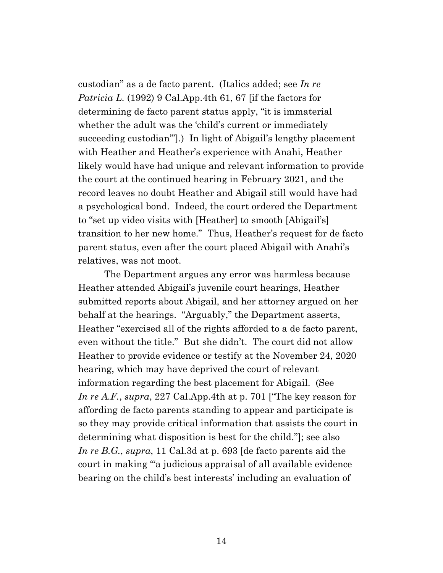custodian" as a de facto parent. (Italics added; see *In re Patricia L.* (1992) 9 Cal.App.4th 61, 67 [if the factors for determining de facto parent status apply, "it is immaterial whether the adult was the 'child's current or immediately succeeding custodian'"].) In light of Abigail's lengthy placement with Heather and Heather's experience with Anahi, Heather likely would have had unique and relevant information to provide the court at the continued hearing in February 2021, and the record leaves no doubt Heather and Abigail still would have had a psychological bond. Indeed, the court ordered the Department to "set up video visits with [Heather] to smooth [Abigail's] transition to her new home." Thus, Heather's request for de facto parent status, even after the court placed Abigail with Anahi's relatives, was not moot.

The Department argues any error was harmless because Heather attended Abigail's juvenile court hearings, Heather submitted reports about Abigail, and her attorney argued on her behalf at the hearings. "Arguably," the Department asserts, Heather "exercised all of the rights afforded to a de facto parent, even without the title." But she didn't. The court did not allow Heather to provide evidence or testify at the November 24, 2020 hearing, which may have deprived the court of relevant information regarding the best placement for Abigail. (See *In re A.F.*, *supra*, 227 Cal.App.4th at p. 701 ["The key reason for affording de facto parents standing to appear and participate is so they may provide critical information that assists the court in determining what disposition is best for the child."]; see also *In re B.G.*, *supra*, 11 Cal.3d at p. 693 [de facto parents aid the court in making "'a judicious appraisal of all available evidence bearing on the child's best interests' including an evaluation of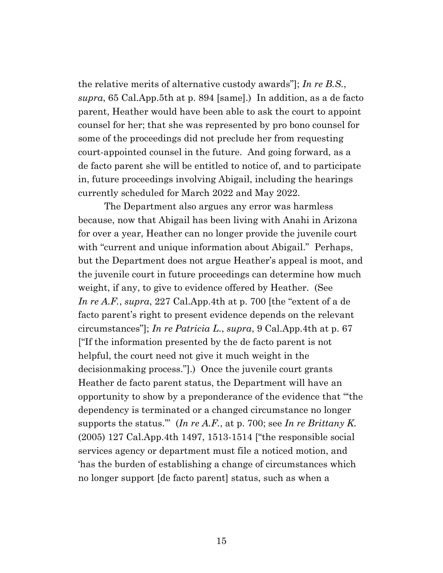the relative merits of alternative custody awards"]; *In re B.S.*, *supra*, 65 Cal.App.5th at p. 894 [same].) In addition, as a de facto parent, Heather would have been able to ask the court to appoint counsel for her; that she was represented by pro bono counsel for some of the proceedings did not preclude her from requesting court-appointed counsel in the future. And going forward, as a de facto parent she will be entitled to notice of, and to participate in, future proceedings involving Abigail, including the hearings currently scheduled for March 2022 and May 2022.

The Department also argues any error was harmless because, now that Abigail has been living with Anahi in Arizona for over a year, Heather can no longer provide the juvenile court with "current and unique information about Abigail." Perhaps, but the Department does not argue Heather's appeal is moot, and the juvenile court in future proceedings can determine how much weight, if any, to give to evidence offered by Heather. (See *In re A.F.*, *supra*, 227 Cal.App.4th at p. 700 [the "extent of a de facto parent's right to present evidence depends on the relevant circumstances"]; *In re Patricia L.*, *supra*, 9 Cal.App.4th at p. 67 ["If the information presented by the de facto parent is not helpful, the court need not give it much weight in the decisionmaking process."].) Once the juvenile court grants Heather de facto parent status, the Department will have an opportunity to show by a preponderance of the evidence that "'the dependency is terminated or a changed circumstance no longer supports the status.'" (*In re A.F.*, at p. 700; see *In re Brittany K.* (2005) 127 Cal.App.4th 1497, 1513-1514 ["the responsible social services agency or department must file a noticed motion, and 'has the burden of establishing a change of circumstances which no longer support [de facto parent] status, such as when a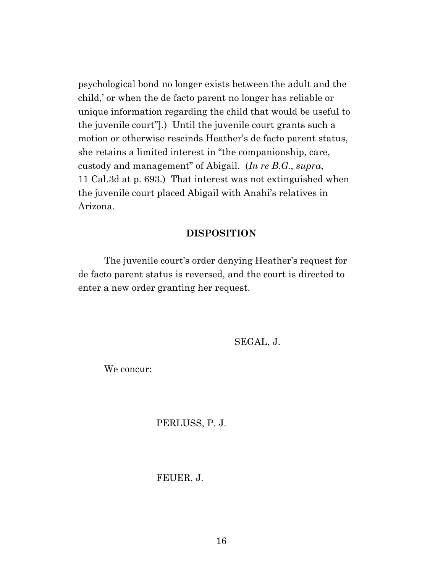psychological bond no longer exists between the adult and the child,' or when the de facto parent no longer has reliable or unique information regarding the child that would be useful to the juvenile court"].) Until the juvenile court grants such a motion or otherwise rescinds Heather's de facto parent status, she retains a limited interest in "the companionship, care, custody and management" of Abigail. (*In re B.G.*, *supra*, 11 Cal.3d at p. 693.) That interest was not extinguished when the juvenile court placed Abigail with Anahi's relatives in Arizona.

#### **DISPOSITION**

The juvenile court's order denying Heather's request for de facto parent status is reversed, and the court is directed to enter a new order granting her request.

SEGAL, J.

We concur:

PERLUSS, P. J.

#### FEUER, J.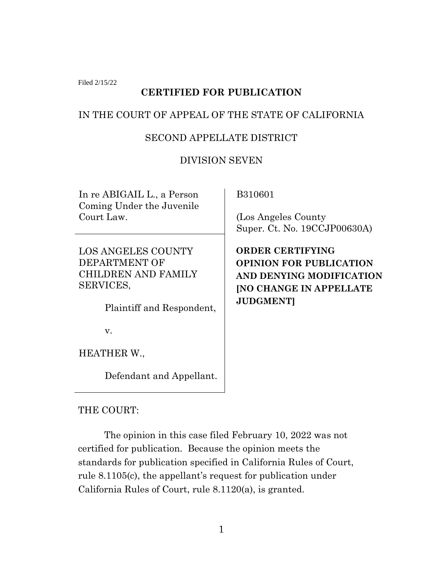Filed 2/15/22

# **CERTIFIED FOR PUBLICATION**

## IN THE COURT OF APPEAL OF THE STATE OF CALIFORNIA

## SECOND APPELLATE DISTRICT

## DIVISION SEVEN

In re ABIGAIL L., a Person Coming Under the Juvenile Court Law.

LOS ANGELES COUNTY DEPARTMENT OF CHILDREN AND FAMILY SERVICES,

Plaintiff and Respondent,

v.

HEATHER W.,

Defendant and Appellant.

B310601

 (Los Angeles County Super. Ct. No. 19CCJP00630A)

 **ORDER CERTIFYING OPINION FOR PUBLICATION AND DENYING MODIFICATION [NO CHANGE IN APPELLATE JUDGMENT]**

THE COURT:

The opinion in this case filed February 10, 2022 was not certified for publication. Because the opinion meets the standards for publication specified in California Rules of Court, rule 8.1105(c), the appellant's request for publication under California Rules of Court, rule 8.1120(a), is granted.